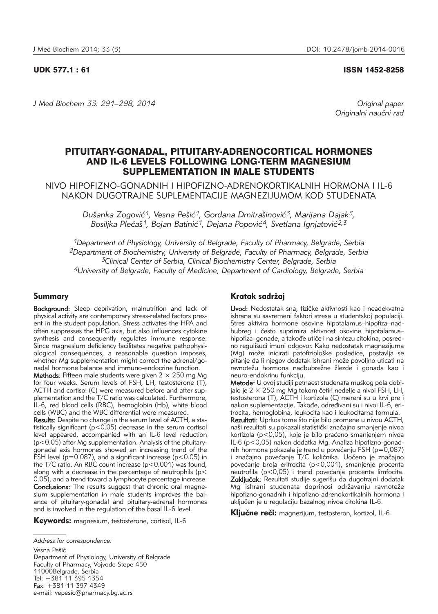UDK 577.1 : 61 ISSN 1452-8258

*J Med Biochem 33: 291–298, 2014 Original paper*

Originalni naučni rad

# PITUITARY-GONADAL, PITUITARY-ADRENOCORTICAL HORMONES AND IL-6 LEVELS FOLLOWING LONG-TERM MAGNESIUM SUPPLEMENTATION IN MALE STUDENTS

NIVO HIPOFIZNO-GONADNIH I HIPOFIZNO-ADRENOKORTIKALNIH HORMONA I IL-6 NAKON DUGOTRAJNE SUPLEMENTACIJE MAGNEZIJUMOM KOD STUDENATA

> *Du{anka Zogovi}1, Vesna Pe{i}1, Gordana Dmitra{inovi}3, Marijana Dajak3,*  Bosilika Plećaš<sup>1</sup>, Bojan Batinić<sup>1</sup>, Dejana Popović<sup>4</sup>, Svetlana Ignjatović<sup>2,3</sup>

*1Department of Physiology, University of Belgrade, Faculty of Pharmacy, Belgrade, Serbia 2Department of Biochemistry, University of Belgrade, Faculty of Pharmacy, Belgrade, Serbia 3Clinical Center of Serbia, Clinical Biochemistry Center, Belgrade, Serbia 4University of Belgrade, Faculty of Medicine, Department of Cardiology, Belgrade, Serbia*

## Summary

Background: Sleep deprivation, malnutrition and lack of physical activity are contemporary stress-related factors present in the student population. Stress activates the HPA and often suppresses the HPG axis, but also influences cytokine synthesis and consequently regulates immune response. Since magnesium deficiency facilitates negative pathophysiological consequences, a reasonable question imposes, whether Mg supplementation might correct the adrenal/gonadal hormone balance and immuno-endocrine function.

**Methods:** Fifteen male students were given  $2 \times 250$  mg Mg for four weeks. Serum levels of FSH, LH, testosterone (T), ACTH and cortisol (C) were measured before and after supplementation and the T/C ratio was calculated. Furthermore, IL-6, red blood cells (RBC), hemoglobin (Hb), white blood cells (WBC) and the WBC differential were measured.

Results: Despite no change in the serum level of ACTH, a statistically significant ( $p < 0.05$ ) decrease in the serum cortisol level appeared, accompanied with an IL-6 level reduction (p<0.05) after Mg supplementation. Analysis of the pituitarygonadal axis hormones showed an increasing trend of the FSH level ( $p=0.087$ ), and a significant increase ( $p<0.05$ ) in the T/C ratio. An RBC count increase (p<0.001) was found, along with a decrease in the percentage of neutrophils (p< 0.05), and a trend toward a lymphocyte percentage increase. Conclusions: The results suggest that chronic oral magnesium supplementation in male students improves the balance of pituitary-gonadal and pituitary-adrenal hormones and is involved in the regulation of the basal IL-6 level.

Keywords: magnesium, testosterone, cortisol, IL-6

*Address for correspondence:* Vesna Pešić Department of Physiology, University of Belgrade Faculty of Pharmacy, Vojvode Stepe 450 11000Belgrade, Serbia Tel: +381 11 395 1354 Fax: +381 11 397 4349 e-mail: vepesic@pharmacy.bg.ac.rs

## Kratak sadržaj

Uvod: Nedostatak sna, fizičke aktivnosti kao i neadekvatna ishrana su savremeni faktori stresa u studentskoj populaciji. Stres aktivira hormone osovine hipotalamus–hipofiza–nadbubreg i često suprimira aktivnost osovine hipotalamushipofiza–gonade, a takođe utiče i na sintezu citokina, posredno regulišući imuni odgovor. Kako nedostatak magnezijuma (Mg) može inicirati patofiziološke posledice, postavlja se pitanje da li njegov dodatak ishrani može povoljno uticati na ravnotežu hormona nadbubrežne žlezde i gonada kao i neuro-endokrinu funkciju.

Metode: U ovoj studiji petnaest studenata muškog pola dobijalo je  $2 \times 250$  mg Mg tokom četiri nedelje a nivoi FSH, LH, testosterona (T), ACTH i kortizola (C) mereni su u krvi pre i nakon suplementacije. Takođe, određivani su i nivoi IL-6, eritrocita, hemoglobina, leukocita kao i leukocitarna formula.

Rezultati: Uprkos tome što nije bilo promene u nivou ACTH. naši rezultati su pokazali statistički značajno smanjenje nivoa kortizola (p<0,05), koje je bilo praćeno smanjenjem nivoa IL-6 (p<0,05) nakon dodatka Mg. Analiza hipofizno-gonadnih hormona pokazala je trend u povećanju FSH (p=0,087) i značajno povećanje T/C količnika. Uočeno je značajno povećanje broja eritrocita (p<0,001), smanjenje procenta neutrofila (p<0,05) i trend povećanja procenta limfocita. Zaključak: Rezultati studije sugerišu da dugotrajni dodatak Mg ishrani studenata doprinosi održavanju ravnoteže hipofizno-gonadnih i hipofizno-adrenokortikalnih hormona i uključen je u regulaciju bazalnog nivoa citokina IL-6.

Ključne reči: magnezijum, testosteron, kortizol, IL-6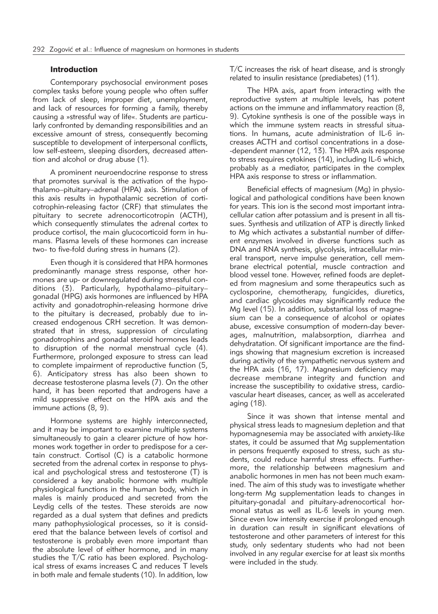## **Introduction**

Contemporary psychosocial environment poses complex tasks before young people who often suffer from lack of sleep, improper diet, unemployment, and lack of resources for forming a family, thereby causing a »stressful way of life«. Students are particularly confronted by demanding responsibilities and an excessive amount of stress, consequently becoming susceptible to development of interpersonal conflicts, low self-esteem, sleeping disorders, decreased attention and alcohol or drug abuse (1).

A prominent neuroendocrine response to stress that promotes survival is the activation of the hypothalamo–pituitary–adrenal (HPA) axis. Stimulation of this axis results in hypothalamic secretion of corticotrophin-releasing factor (CRF) that stimulates the pituitary to secrete adrenocorticotropin (ACTH), which consequently stimulates the adrenal cortex to produce cortisol, the main glucocorticoid form in humans. Plasma levels of these hormones can increase two- to five-fold during stress in humans (2).

Even though it is considered that HPA hormones predominantly manage stress response, other hormones are up- or downregulated during stressful conditions (3). Particularly, hypothalamo–pituitary– gonadal (HPG) axis hormones are influenced by HPA activity and gonadotrophin-releasing hormone drive to the pituitary is decreased, probably due to increased endogenous CRH secretion. It was demonstrated that in stress, suppression of circulating gonadotrophins and gonadal steroid hormones leads to disruption of the normal menstrual cycle (4). Furthermore, prolonged exposure to stress can lead to complete impairment of reproductive function (5, 6). Anticipatory stress has also been shown to decrease testosterone plasma levels (7). On the other hand, it has been reported that androgens have a mild suppressive effect on the HPA axis and the immune actions (8, 9).

Hormone systems are highly interconnected, and it may be important to examine multiple systems simultaneously to gain a clearer picture of how hormones work together in order to predispose for a certain construct. Cortisol (C) is a catabolic hormone secreted from the adrenal cortex in response to physical and psychological stress and testosterone (T) is considered a key anabolic hormone with multiple physiological functions in the human body, which in males is mainly produced and secreted from the Leydig cells of the testes. These steroids are now regarded as a dual system that defines and predicts many pathophysiological processes, so it is considered that the balance between levels of cortisol and testosterone is probably even more important than the absolute level of either hormone, and in many studies the T/C ratio has been explored. Psychological stress of exams increases C and reduces T levels in both male and female students (10). In addition, low

 $T/C$  increases the risk of heart disease, and is strongly related to insulin resistance (prediabetes) (11).

The HPA axis, apart from interacting with the reproductive system at multiple levels, has potent actions on the immune and inflammatory reaction (8, 9). Cytokine synthesis is one of the possible ways in which the immune system reacts in stressful situations. In humans, acute administration of IL-6 increases ACTH and cortisol concentrations in a dose- -dependent manner (12, 13). The HPA axis response to stress requires cytokines (14), including IL-6 which, probably as a mediator, participates in the complex HPA axis response to stress or inflammation.

Beneficial effects of magnesium (Mg) in physiological and pathological conditions have been known for years. This ion is the second most important intracellular cation after potassium and is present in all tissues. Synthesis and utilization of ATP is directly linked to Mg which activates a substantial number of different enzymes involved in diverse functions such as DNA and RNA synthesis, glycolysis, intracellular mineral transport, nerve impulse generation, cell membrane electrical potential, muscle contraction and blood vessel tone. However, refined foods are depleted from magnesium and some therapeutics such as cyclosporine, chemotherapy, fungicides, diuretics, and cardiac glycosides may significantly reduce the Mg level (15). In addition, substantial loss of magnesium can be a consequence of alcohol or opiates abuse, excessive consumption of modern-day beverages, malnutrition, malabsorption, diarrhea and dehydratation. Of significant importance are the findings showing that magnesium excretion is increased during activity of the sympathetic nervous system and the HPA axis (16, 17). Magnesium deficiency may decrease membrane integrity and function and increase the susceptibility to oxidative stress, cardiovascular heart diseases, cancer, as well as accelerated aging (18).

Since it was shown that intense mental and physical stress leads to magnesium depletion and that hypomagnesemia may be associated with anxiety-like states, it could be assumed that Mg supplementation in persons frequently exposed to stress, such as students, could reduce harmful stress effects. Furthermore, the relationship between magnesium and anabolic hormones in men has not been much examined. The aim of this study was to investigate whether long-term Mg supplementation leads to changes in pituitary-gonadal and pituitary-adrenocortical hormonal status as well as IL-6 levels in young men. Since even low intensity exercise if prolonged enough in duration can result in significant elevations of testosterone and other parameters of interest for this study, only sedentary students who had not been involved in any regular exercise for at least six months were included in the study.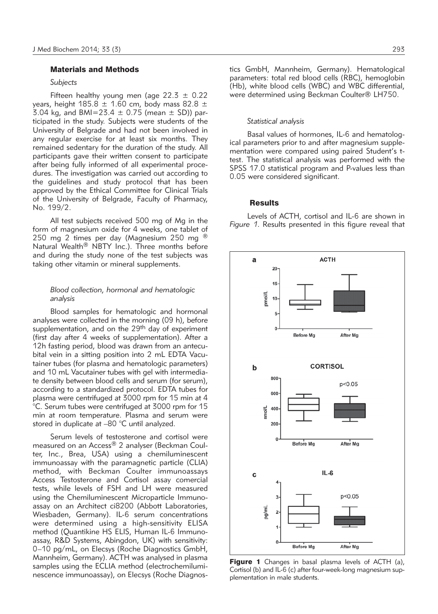### Materials and Methods

#### *Subjects*

Fifteen healthy young men (age  $22.3 \pm 0.22$ years, height 185.8  $\pm$  1.60 cm, body mass 82.8  $\pm$ 3.04 kg, and BMI=23.4  $\pm$  0.75 (mean  $\pm$  SD)) participated in the study. Subjects were students of the University of Belgrade and had not been involved in any regular exercise for at least six months. They remained sedentary for the duration of the study. All participants gave their written consent to participate after being fully informed of all experimental procedures. The investigation was carried out according to the guidelines and study protocol that has been approved by the Ethical Committee for Clinical Trials of the University of Belgrade, Faculty of Pharmacy, No. 199/2.

All test subjects received 500 mg of Mg in the form of magnesium oxide for 4 weeks, one tablet of 250 mg 2 times per day (Magnesium 250 mg  $\textcircled{8}$ Natural Wealth® NBTY Inc.). Three months before and during the study none of the test subjects was taking other vitamin or mineral supplements.

### *Blood collection, hormonal and hematologic analysis*

Blood samples for hematologic and hormonal analyses were collected in the morning (09 h), before supplementation, and on the 29<sup>th</sup> day of experiment (first day after 4 weeks of supplementation). After a 12h fasting period, blood was drawn from an antecubital vein in a sitting position into 2 mL EDTA Vacutainer tubes (for plasma and hematologic parameters) and 10 mL Vacutainer tubes with gel with intermediate density between blood cells and serum (for serum), according to a standardized protocol. EDTA tubes for plasma were centrifuged at 3000 rpm for 15 min at 4 °C. Serum tubes were centrifuged at 3000 rpm for 15 min at room temperature. Plasma and serum were stored in duplicate at –80 °C until analyzed.

Serum levels of testosterone and cortisol were measured on an Access® 2 analyser (Beckman Coulter, Inc., Brea, USA) using a chemiluminescent immuno assay with the paramagnetic particle (CLIA) method, with Beckman Coulter immunoassays Access Testosterone and Cortisol assay comercial tests, while levels of FSH and LH were measured using the Chemiluminescent Microparticle Immunoassay on an Architect ci8200 (Abbott Laboratories, Wiesbaden, Germany). IL-6 serum concentrations were determined using a high-sensitivity ELISA method (Quantikine HS ELIS, Human IL-6 Immunoassay, R&D Systems, Abingdon, UK) with sensitivity: 0–10 pg/mL, on Elecsys (Roche Diagnostics GmbH, Mannheim, Germany). ACTH was analysed in plasma samples using the ECLIA method (electrochemiluminescence immunoassay), on Elecsys (Roche Diagnostics GmbH, Mannheim, Germany). Hematological parameters: total red blood cells (RBC), hemoglobin (Hb), white blood cells (WBC) and WBC differential, were determined using Beckman Coulter® LH750.

#### *Statistical analysis*

Basal values of hormones, IL-6 and hematological parameters prior to and after magnesium supplementation were compared using paired Student's ttest. The statistical analysis was performed with the SPSS 17.0 statistical program and P-values less than 0.05 were considered significant.

#### **Results**

Levels of ACTH, cortisol and IL-6 are shown in *Figure 1*. Results presented in this figure reveal that



Figure 1 Changes in basal plasma levels of ACTH (a), Cortisol (b) and IL-6 (c) after four-week-long magnesium supplementation in male students.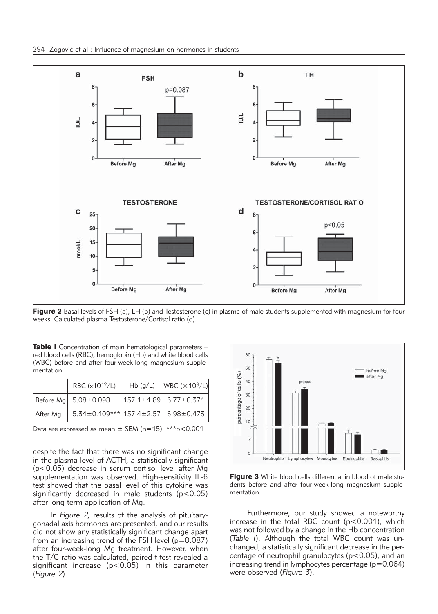

Figure 2 Basal levels of FSH (a), LH (b) and Testosterone (c) in plasma of male students supplemented with magnesium for four weeks. Calculated plasma Testosterone/Cortisol ratio (d).

Table I Concentration of main hematological parameters red blood cells (RBC), hemoglobin (Hb) and white blood cells (WBC) before and after four-week-long magnesium supplementation.

|          | RBC (x10 <sup>12</sup> /L)                            | Hb(g/L) | WBC (×10 <sup>9</sup> /L)         |
|----------|-------------------------------------------------------|---------|-----------------------------------|
|          | Before Mg   5.08±0.098                                |         | $ 157.1 \pm 1.89  6.77 \pm 0.371$ |
| After Mg | $5.34 \pm 0.109***$ 157.4 $\pm 2.57$ 6.98 $\pm 0.473$ |         |                                   |

Data are expressed as mean  $\pm$  SEM (n=15). \*\*\*p<0.001

despite the fact that there was no significant change in the plasma level of ACTH, a statistically significant (p<0.05) decrease in serum cortisol level after Mg supplementation was observed. High-sensitivity IL-6 test showed that the basal level of this cytokine was significantly decreased in male students  $(p<0.05)$ after long-term application of Mg.

In *Figure 2,* results of the analysis of pituitarygonadal axis hormones are presented, and our results did not show any statistically significant change apart from an increasing trend of the FSH level (p=0.087) after four-week-long Mg treatment. However, when the T/C ratio was calculated, paired t-test revealed a significant increase ( $p < 0.05$ ) in this parameter (*Figure 2*).



**Figure 3** White blood cells differential in blood of male students before and after four-week-long magnesium supplementation.

Furthermore, our study showed a noteworthy increase in the total RBC count (p<0.001), which was not followed by a change in the Hb concentration (Table I). Although the total WBC count was unchanged, a statistically significant decrease in the percentage of neutrophil granulocytes (p<0.05), and an increasing trend in lymphocytes percentage  $(p=0.064)$ were observed (*Figure 3*).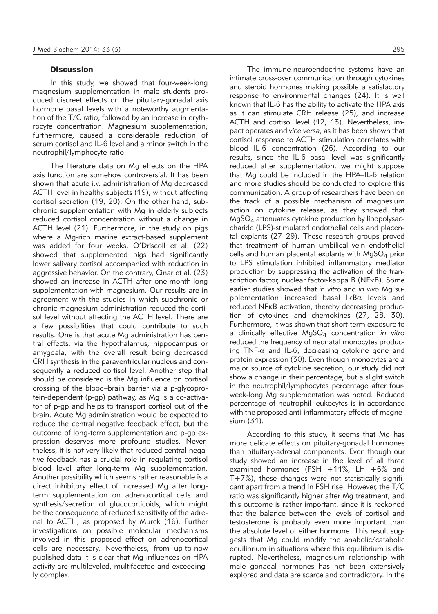#### **Discussion**

In this study, we showed that four-week-long magnesium supplementation in male students produced discreet effects on the pituitary-gonadal axis hormone basal levels with a noteworthy augmentation of the T/C ratio, followed by an increase in erythrocyte concentration. Magnesium supplementation, furthermore, caused a considerable reduction of serum cortisol and IL-6 level and a minor switch in the neutrophil/lymphocyte ratio.

The literature data on Mg effects on the HPA axis function are somehow controversial. It has been shown that acute i.v. administration of Mg decreased ACTH level in healthy subjects (19), without affecting cortisol secretion (19, 20). On the other hand, subchronic supplementation with Mg in elderly subjects reduced cortisol concentration without a change in ACTH level (21). Furthermore, in the study on pigs where a Mg-rich marine extract-based supplement was added for four weeks, O'Driscoll et al. (22) showed that supplemented pigs had significantly lower salivary cortisol accompanied with reduction in aggressive behavior. On the contrary, Cinar et al. (23) showed an increase in ACTH after one-month-long supplementation with magnesium. Our results are in agreement with the studies in which subchronic or chronic magnesium administration reduced the cortisol level without affecting the ACTH level. There are a few possibilities that could contribute to such results. One is that acute Mg administration has central effects, via the hypothalamus, hippocampus or amygdala, with the overall result being decreased CRH synthesis in the paraventricular nucleus and consequently a reduced cortisol level. Another step that should be considered is the Mg influence on cortisol crossing of the blood–brain barrier via a p-glycoprotein-dependent (p-gp) pathway, as Mg is a co-activator of p-gp and helps to transport cortisol out of the brain. Acute Mg administration would be expected to reduce the central negative feedback effect, but the outcome of long-term supplementation and p-qp expression deserves more profound studies. Nevertheless, it is not very likely that reduced central negative feedback has a crucial role in regulating cortisol blood level after long-term Mg supplementation. Another possibility which seems rather reasonable is a direct inhibitory effect of increased Mg after longterm supplementation on adrenocortical cells and synthesis/secretion of glucocorticoids, which might be the consequence of reduced sensitivity of the adrenal to ACTH, as proposed by Murck (16). Further investigations on possible molecular mechanisms involved in this proposed effect on adrenocortical cells are necessary. Nevertheless, from up-to-now published data it is clear that Mg influences on HPA activity are multileveled, multifaceted and exceedingly complex.

The immune-neuroendocrine systems have an intimate cross-over communication through cytokines and steroid hormones making possible a satisfactory response to environmental changes (24). It is well known that IL-6 has the ability to activate the HPA axis as it can stimulate CRH release (25), and increase ACTH and cortisol level (12, 13). Nevertheless, impact operates and *vice versa*, as it has been shown that cortisol response to ACTH stimulation correlates with blood IL-6 concentration (26). According to our results, since the IL-6 basal level was significantly reduced after supplementation, we might suppose that Mg could be included in the HPA–IL-6 relation and more studies should be conducted to explore this communication. A group of researchers have been on the track of a possible mechanism of magnesium action on cytokine release, as they showed that  $MqSO<sub>A</sub>$  attenuates cytokine production by lipopolysaccharide (LPS)-stimulated endothelial cells and placental explants (27–29). These research groups proved that treatment of human umbilical vein endothelial cells and human placental explants with  $MqSO<sub>A</sub>$  prior to LPS stimulation inhibited inflammatory mediator production by suppressing the activation of the transcription factor, nuclear factor-kappa B (NFkB). Some earlier studies showed that *in vitro* and *in vivo* Mg supplementation increased basal  $\text{lkB}\alpha$  levels and reduced NFkB activation, thereby decreasing production of cytokines and chemokines (27, 28, 30). Furthermore, it was shown that short-term exposure to a clinically effective MgSO<sub>4</sub> concentration *in vitro* reduced the frequency of neonatal monocytes producing TNF- $\alpha$  and IL-6, decreasing cytokine gene and protein expression (30). Even though monocytes are a major source of cytokine secretion, our study did not show a change in their percentage, but a slight switch in the neutrophil/lymphocytes percentage after fourweek-long Mg supplementation was noted. Reduced percentage of neutrophil leukocytes is in accordance with the proposed anti-inflammatory effects of magnesium (31).

According to this study, it seems that Mg has more delicate effects on pituitary-gonadal hormones than pituitary-adrenal components. Even though our study showed an increase in the level of all three examined hormones (FSH +11%, LH +6% and  $T+7%$ ), these changes were not statistically significant apart from a trend in FSH rise. However, the T/C ratio was significantly higher after Mg treatment, and this outcome is rather important, since it is reckoned that the balance between the levels of cortisol and testosterone is probably even more important than the absolute level of either hormone. This result suggests that Mg could modify the anabolic/catabolic equilibrium in situations where this equilibrium is disrupted. Nevertheless, magnesium relationship with male gonadal hormones has not been extensively explored and data are scarce and contradictory. In the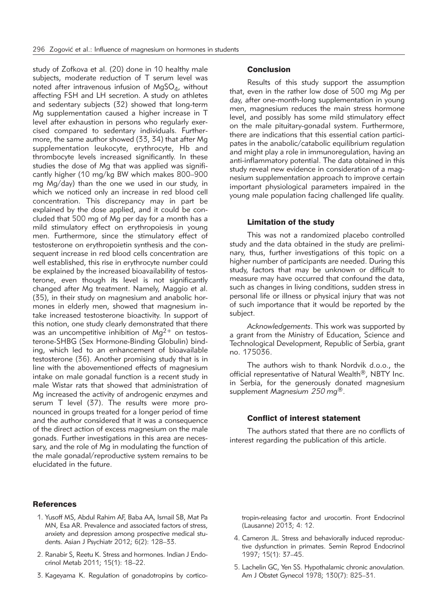study of Zofkova et al. (20) done in 10 healthy male subjects, moderate reduction of T serum level was noted after intravenous infusion of  $MgSO<sub>4</sub>$ , without affecting FSH and LH secretion. A study on athletes and sedentary subjects (32) showed that long-term Mg supplementation caused a higher increase in T level after exhaustion in persons who regularly exercised compared to sedentary individuals. Furthermore, the same author showed (33, 34) that after Mg supplementation leukocyte, erythrocyte, Hb and thrombocyte levels increased significantly. In these studies the dose of Mg that was applied was significantly higher (10 mg/kg BW which makes 800–900 mg Mg/day) than the one we used in our study, in which we noticed only an increase in red blood cell concentration. This discrepancy may in part be explained by the dose applied, and it could be concluded that 500 mg of Mg per day for a month has a mild stimulatory effect on erythropoiesis in young men. Furthermore, since the stimulatory effect of testosterone on erythropoietin synthesis and the consequent increase in red blood cells concentration are well established, this rise in erythrocyte number could be explained by the increased bioavailability of testosterone, even though its level is not significantly changed after Mg treatment. Namely, Maggio et al. (35), in their study on magnesium and anabolic hormones in elderly men, showed that magnesium intake increased testosterone bioactivity. In support of this notion, one study clearly demonstrated that there was an uncompetitive inhibition of  $Mg^{2+}$  on testosterone-SHBG (Sex Hormone-Binding Globulin) binding, which led to an enhancement of bioavailable testosterone (36). Another promising study that is in line with the abovementioned effects of magnesium intake on male gonadal function is a recent study in male Wistar rats that showed that administration of Mg increased the activity of androgenic enzymes and serum T level (37). The results were more pronounced in groups treated for a longer period of time and the author considered that it was a consequence of the direct action of excess magnesium on the male gonads. Further investigations in this area are necessary, and the role of Mg in modulating the function of the male gonadal/reproductive system remains to be elucidated in the future.

## References

- 1. Yusoff MS, Abdul Rahim AF, Baba AA, Ismail SB, Mat Pa MN, Esa AR. Prevalence and associated factors of stress, anxiety and depression among prospective medical students. Asian J Psychiatr 2012; 6(2): 128–33.
- 2. Ranabir S, Reetu K. Stress and hormones. Indian J Endocrinol Metab 2011; 15(1): 18–22.
- 3. Kageyama K. Regulation of gonadotropins by cortico-

### **Conclusion**

Results of this study support the assumption that, even in the rather low dose of 500 mg Mg per day, after one-month-long supplementation in young men, magnesium reduces the main stress hormone level, and possibly has some mild stimulatory effect on the male pituitary-gonadal system. Furthermore, there are indications that this essential cation participates in the anabolic/catabolic equilibrium regulation and might play a role in immunoregulation, having an anti-inflammatory potential. The data obtained in this study reveal new evidence in consideration of a magnesium supplementation approach to improve certain important physiological parameters impaired in the young male population facing challenged life quality.

#### Limitation of the study

This was not a randomized placebo controlled study and the data obtained in the study are preliminary, thus, further investigations of this topic on a higher number of participants are needed. During this study, factors that may be unknown or difficult to measure may have occurred that confound the data, such as changes in living conditions, sudden stress in personal life or illness or physical injury that was not of such importance that it would be reported by the subject.

*Acknowledgements*. This work was supported by a grant from the Ministry of Education, Science and Technological Development, Republic of Serbia, grant no. 175036.

The authors wish to thank Nordvik d.o.o., the official representative of Natural Wealth®, NBTY Inc. in Serbia, for the generously donated magnesium supplement *Magnesium 250 mg*®.

## Conflict of interest statement

The authors stated that there are no conflicts of interest regarding the publication of this article.

tropin-releasing factor and urocortin. Front Endocrinol (Lausanne) 2013; 4: 12.

- 4. Cameron JL. Stress and behaviorally induced reproductive dysfunction in primates. Semin Reprod Endocrinol 1997; 15(1): 37–45.
- 5. Lachelin GC, Yen SS. Hypothalamic chronic anovulation. Am J Obstet Gynecol 1978; 130(7): 825–31.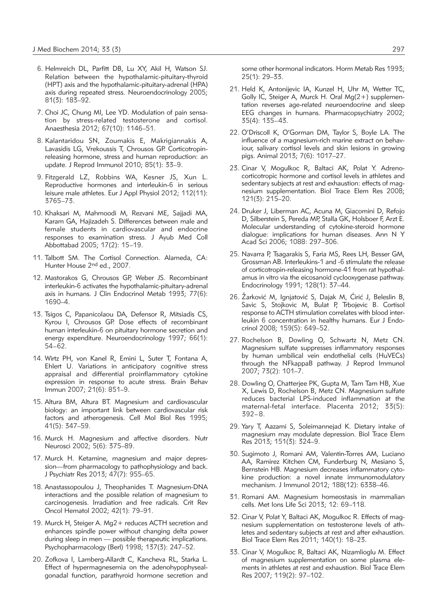- 6. Helmreich DL, Parfitt DB, Lu XY, Akil H, Watson SJ. Relation between the hypothalamic-pituitary-thyroid (HPT) axis and the hypothalamic-pituitary-adrenal (HPA) axis during repeated stress. Neuroendocrinology 2005; 81(3): 183–92.
- 7. Choi JC, Chung MI, Lee YD. Modulation of pain sensation by stress-related testosterone and cortisol. Anaesthesia 2012; 67(10): 1146–51.
- 8. Kalantaridou SN, Zoumakis E, Makrigiannakis A, Lavasidis LG, Vrekoussis T, Chrousos GP. Corticotropinreleasing hormone, stress and human reproduction: an update. J Reprod Immunol 2010; 85(1): 33–9.
- 9. Fitzgerald LZ, Robbins WA, Kesner JS, Xun L. Reproductive hormones and interleukin-6 in serious leisure male athletes. Eur J Appl Physiol 2012; 112(11): 3765–73.
- 10. Khaksari M, Mahmoodi M, Rezvani ME, Sajjadi MA, Karam GA, Hajizadeh S. Differences between male and female students in cardiovascular and endocrine responses to examination stress. J Ayub Med Coll Abbottabad 2005; 17(2): 15–19.
- 11. Talbott SM. The Cortisol Connection. Alameda, CA: Hunter House 2nd ed., 2007.
- 12. Mastorakos G, Chrousos GP, Weber JS. Recombinant interleukin-6 activates the hypothalamic-pituitary-adrenal axis in humans. J Clin Endocrinol Metab 1993; 77(6): 1690–4.
- 13. Tsigos C, Papanicolaou DA, Defensor R, Mitsiadis CS, Kyrou I, Chrousos GP. Dose effects of recombinant human interleukin-6 on pituitary hormone secretion and energy expenditure. Neuroendocrinology 1997; 66(1): 54–62.
- 14. Wirtz PH, von Kanel R, Emini L, Suter T, Fontana A, Ehlert U. Variations in anticipatory cognitive stress appraisal and differential proinflammatory cytokine expression in response to acute stress. Brain Behav Immun 2007; 21(6): 851–9.
- 15. Altura BM, Altura BT. Magnesium and cardiovascular biology: an important link between cardiovascular risk factors and atherogenesis. Cell Mol Biol Res 1995; 41(5): 347–59.
- 16. Murck H. Magnesium and affective disorders. Nutr Neurosci 2002; 5(6): 375–89.
- 17. Murck H. Ketamine, magnesium and major depression—from pharmacology to pathophysiology and back. J Psychiatr Res 2013; 47(7): 955–65.
- 18. Anastassopoulou J, Theophanides T. Magnesium-DNA interactions and the possible relation of magnesium to carcinogenesis. Irradiation and free radicals. Crit Rev Oncol Hematol 2002; 42(1): 79–91.
- 19. Murck H, Steiger A. Mg2+ reduces ACTH secretion and enhances spindle power without changing delta power during sleep in men — possible therapeutic implications. Psychopharmacology (Berl) 1998; 137(3): 247–52.
- 20. Zofkova I, Lamberg-Allardt C, Kancheva RL, Starka L. Effect of hypermagnesemia on the adenohypophysealgonadal function, parathyroid hormone secretion and

some other hormonal indicators. Horm Metab Res 1993; 25(1): 29–33.

- 21. Held K, Antonijevic IA, Kunzel H, Uhr M, Wetter TC, Golly IC, Steiger A, Murck H. Oral Mg(2+) supplementation reverses age-related neuroendocrine and sleep EEG changes in humans. Pharmacopsychiatry 2002; 35(4): 135–43.
- 22. O'Driscoll K, O'Gorman DM, Taylor S, Boyle LA. The influence of a magnesium-rich marine extract on behaviour, salivary cortisol levels and skin lesions in growing pigs. Animal 2013; 7(6): 1017–27.
- 23. Cinar V, Mogulkoc R, Baltaci AK, Polat Y. Adrenocorticotropic hormone and cortisol levels in athletes and sedentary subjects at rest and exhaustion: effects of magnesium supplementation. Biol Trace Elem Res 2008; 121(3): 215–20.
- 24. Druker J, Liberman AC, Acuna M, Giacomini D, Refojo D, Silberstein S, Pereda MP, Stalla GK, Holsboer F, Arzt E. Molecular understanding of cytokine-steroid hormone dialogue: implications for human diseases. Ann N Y Acad Sci 2006; 1088: 297–306.
- 25. Navarra P, Tsagarakis S, Faria MS, Rees LH, Besser GM, Grossman AB. Interleukins-1 and -6 stimulate the release of corticotropin-releasing hormone-41 from rat hypothalamus in vitro via the eicosanoid cyclooxygenase pathway. Endocrinology 1991; 128(1): 37–44.
- 26. Žarković M, Ignjatović S, Dajak M, Ćirić J, Beleslin B, Savic S, Stojkovic M, Bulat P, Trbojevic B. Cortisol response to ACTH stimulation correlates with blood interleukin 6 concentration in healthy humans. Eur J Endocrinol 2008; 159(5): 649–52.
- 27. Rochelson B, Dowling O, Schwartz N, Metz CN. Magnesium sulfate suppresses inflammatory responses by human umbilical vein endothelial cells (HuVECs) through the NFkappaB pathway. J Reprod Immunol 2007; 73(2): 101–7.
- 28. Dowling O, Chatterjee PK, Gupta M, Tam Tam HB, Xue X, Lewis D, Rochelson B, Metz CN. Magnesium sulfate reduces bacterial LPS-induced inflammation at the maternal-fetal interface. Placenta 2012; 33(5): 392–8.
- 29. Yary T, Aazami S, Soleimannejad K. Dietary intake of magnesium may modulate depression. Biol Trace Elem Res 2013; 151(3): 324–9.
- 30. Sugimoto J, Romani AM, Valentin-Torres AM, Luciano AA, Ramirez Kitchen CM, Funderburg N, Mesiano S, Bernstein HB. Magnesium decreases inflammatory cytokine production: a novel innate immunomodulatory mechanism. J Immunol 2012; 188(12): 6338–46.
- 31. Romani AM. Magnesium homeostasis in mammalian cells. Met Ions Life Sci 2013; 12: 69–118.
- 32. Cinar V, Polat Y, Baltaci AK, Mogulkoc R. Effects of magnesium supplementation on testosterone levels of athletes and sedentary subjects at rest and after exhaustion. Biol Trace Elem Res 2011; 140(1): 18–23.
- 33. Cinar V, Mogulkoc R, Baltaci AK, Nizamlioglu M. Effect of magnesium supplementation on some plasma elements in athletes at rest and exhaustion. Biol Trace Elem Res 2007; 119(2): 97–102.